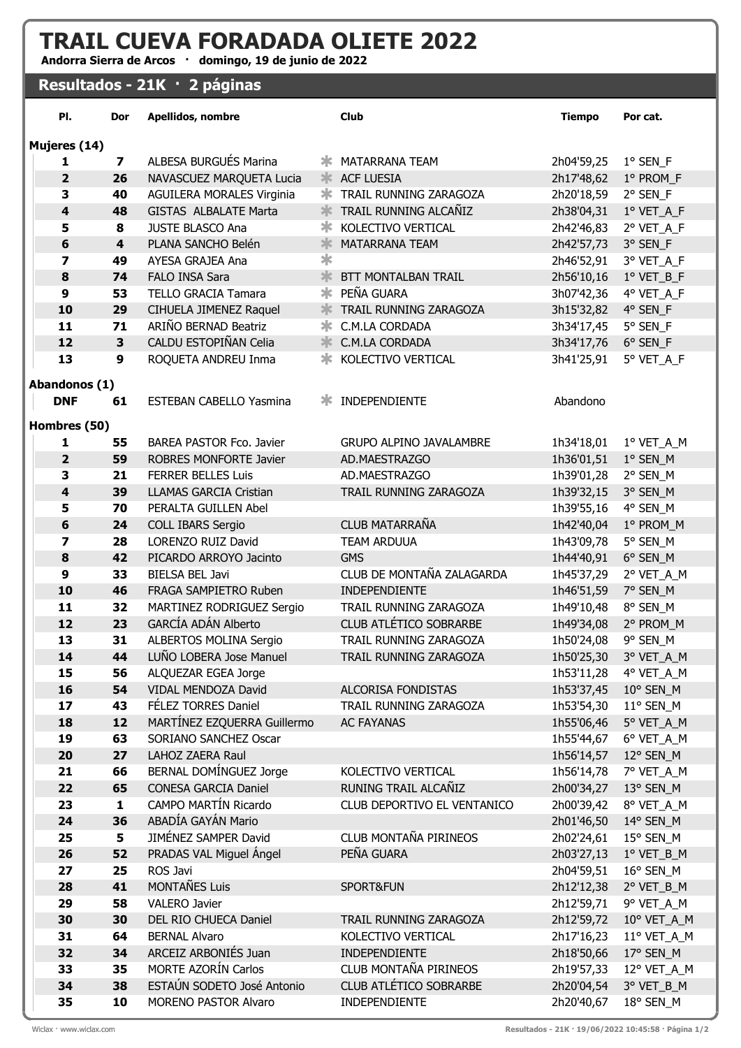## TRAIL CUEVA FORADADA OLIETE 2022

Andorra Sierra de Arcos · domingo, 19 de junio de 2022

## Resultados - 21K · 2 páginas

| PI.                         | Dor     | Apellidos, nombre                                     |   | <b>Club</b>                     | <b>Tiempo</b>            | Por cat.                |  |  |  |  |
|-----------------------------|---------|-------------------------------------------------------|---|---------------------------------|--------------------------|-------------------------|--|--|--|--|
| Mujeres (14)                |         |                                                       |   |                                 |                          |                         |  |  |  |  |
| 1                           | 7       | ALBESA BURGUÉS Marina                                 |   | <b>* MATARRANA TEAM</b>         | 2h04'59,25               | $1°$ SEN_F              |  |  |  |  |
| $\overline{2}$              | 26      | NAVASCUEZ MARQUETA Lucia                              |   | * ACF LUESIA                    | 2h17'48,62               | 1º PROM_F               |  |  |  |  |
| 3                           | 40      | <b>AGUILERA MORALES Virginia</b>                      | ∗ | TRAIL RUNNING ZARAGOZA          | 2h20'18,59               | 2° SEN_F                |  |  |  |  |
| $\overline{\mathbf{4}}$     | 48      | <b>GISTAS ALBALATE Marta</b>                          | 氺 | TRAIL RUNNING ALCAÑIZ           | 2h38'04,31               | 1º VET_A_F              |  |  |  |  |
| 5                           | 8       | JUSTE BLASCO Ana                                      | ∗ | KOLECTIVO VERTICAL              | 2h42'46,83               | 2° VET_A_F              |  |  |  |  |
| 6                           | 4       | PLANA SANCHO Belén                                    | 氺 | <b>MATARRANA TEAM</b>           | 2h42'57,73               | 3° SEN_F                |  |  |  |  |
| $\overline{\mathbf{z}}$     | 49      | AYESA GRAJEA Ana                                      | ∗ |                                 | 2h46'52,91               | 3° VET_A_F              |  |  |  |  |
| 8                           | 74      | FALO INSA Sara                                        | 氺 | BTT MONTALBAN TRAIL             |                          | 2h56'10,16 1º VET_B_F   |  |  |  |  |
| 9                           | 53      | <b>TELLO GRACIA Tamara</b>                            |   | <b>* PEÑA GUARA</b>             | 3h07'42,36               | 4° VET_A_F              |  |  |  |  |
| 10                          | 29      | CIHUELA JIMENEZ Raquel                                |   | <b>* TRAIL RUNNING ZARAGOZA</b> | 3h15'32,82               | 4° SEN_F                |  |  |  |  |
| 11                          | 71      | ARIÑO BERNAD Beatriz                                  | ∗ | C.M.LA CORDADA                  | 3h34'17,45               | 5° SEN_F                |  |  |  |  |
| 12                          | 3       | CALDU ESTOPIÑAN Celia                                 |   | C.M.LA CORDADA                  | 3h34'17,76               | 6° SEN_F                |  |  |  |  |
| 13                          | 9       | ROQUETA ANDREU Inma                                   |   | <b>* KOLECTIVO VERTICAL</b>     | 3h41'25,91               | 5° VET_A_F              |  |  |  |  |
|                             |         |                                                       |   |                                 |                          |                         |  |  |  |  |
| Abandonos (1)<br><b>DNF</b> | 61      | <b>ESTEBAN CABELLO Yasmina</b>                        |   | <b>* INDEPENDIENTE</b>          | Abandono                 |                         |  |  |  |  |
|                             |         |                                                       |   |                                 |                          |                         |  |  |  |  |
| Hombres (50)                |         |                                                       |   |                                 |                          |                         |  |  |  |  |
| 1                           | 55      | BAREA PASTOR Fco. Javier                              |   | <b>GRUPO ALPINO JAVALAMBRE</b>  | 1h34'18,01               | 1º VET_A_M              |  |  |  |  |
| $\overline{\mathbf{2}}$     | 59      | ROBRES MONFORTE Javier                                |   | AD.MAESTRAZGO                   | 1h36'01,51               | 1° SEN_M                |  |  |  |  |
| 3                           | 21      | <b>FERRER BELLES Luis</b>                             |   | AD.MAESTRAZGO                   | 1h39'01,28               | 2° SEN_M                |  |  |  |  |
| $\overline{\mathbf{4}}$     | 39      | <b>LLAMAS GARCIA Cristian</b>                         |   | TRAIL RUNNING ZARAGOZA          | 1h39'32,15               | 3° SEN_M                |  |  |  |  |
| 5                           | 70      | PERALTA GUILLEN Abel                                  |   |                                 | 1h39'55,16               | 4° SEN_M                |  |  |  |  |
| 6                           | 24      | <b>COLL IBARS Sergio</b>                              |   | <b>CLUB MATARRAÑA</b>           | 1h42'40,04               | 1° PROM_M               |  |  |  |  |
| 7                           | 28      | LORENZO RUIZ David                                    |   | <b>TEAM ARDUUA</b>              | 1h43'09,78               | 5° SEN_M                |  |  |  |  |
| 8                           | 42      | PICARDO ARROYO Jacinto                                |   | <b>GMS</b>                      | 1h44'40,91               | 6° SEN_M                |  |  |  |  |
| 9                           | 33      | <b>BIELSA BEL Javi</b>                                |   | CLUB DE MONTAÑA ZALAGARDA       | 1h45'37,29               | 2° VET_A_M              |  |  |  |  |
| 10                          | 46      | FRAGA SAMPIETRO Ruben                                 |   | INDEPENDIENTE                   | 1h46'51,59               | 7° SEN_M                |  |  |  |  |
| 11                          | 32      | MARTINEZ RODRIGUEZ Sergio                             |   | TRAIL RUNNING ZARAGOZA          | 1h49'10,48               | 8° SEN_M                |  |  |  |  |
| 12                          | 23      | GARCÍA ADÁN Alberto                                   |   | CLUB ATLÉTICO SOBRARBE          | 1h49'34,08               | 2° PROM_M               |  |  |  |  |
| 13                          | 31      | ALBERTOS MOLINA Sergio                                |   | TRAIL RUNNING ZARAGOZA          | 1h50'24,08               | 9° SEN_M                |  |  |  |  |
| 14                          | 44      | LUÑO LOBERA Jose Manuel                               |   | TRAIL RUNNING ZARAGOZA          | 1h50'25,30               | 3° VET_A_M              |  |  |  |  |
| 15                          | 56      | ALQUEZAR EGEA Jorge                                   |   |                                 |                          | 1h53'11,28  4° VET_A_M  |  |  |  |  |
| 16                          | 54      | VIDAL MENDOZA David                                   |   | ALCORISA FONDISTAS              | 1h53'37,45               | 10° SEN_M               |  |  |  |  |
| 17                          | 43      | FÉLEZ TORRES Daniel                                   |   | TRAIL RUNNING ZARAGOZA          | 1h53'54,30               | $11^{\circ}$ SEN_M      |  |  |  |  |
| 18                          | 12      | MARTÍNEZ EZQUERRA Guillermo                           |   | <b>AC FAYANAS</b>               | 1h55'06,46               | 5° VET_A_M              |  |  |  |  |
| 19                          | 63      | SORIANO SANCHEZ Oscar                                 |   |                                 | 1h55'44,67               | 6° VET_A_M              |  |  |  |  |
| 20                          | 27      | LAHOZ ZAERA Raul                                      |   | KOLECTIVO VERTICAL              | 1h56'14,57               | 12° SEN_M               |  |  |  |  |
| 21                          | 66      | BERNAL DOMÍNGUEZ Jorge<br><b>CONESA GARCIA Daniel</b> |   | RUNING TRAIL ALCAÑIZ            | 1h56'14,78               | 7º VET_A_M              |  |  |  |  |
| 22<br>23                    | 65<br>1 | CAMPO MARTÍN Ricardo                                  |   | CLUB DEPORTIVO EL VENTANICO     | 2h00'34,27<br>2h00'39,42 | 13° SEN_M               |  |  |  |  |
| 24                          | 36      | ABADÍA GAYÁN Mario                                    |   |                                 | 2h01'46,50               | 8° VET_A_M<br>14° SEN_M |  |  |  |  |
| 25                          | 5       | JIMÉNEZ SAMPER David                                  |   | CLUB MONTAÑA PIRINEOS           | 2h02'24,61               | 15° SEN_M               |  |  |  |  |
| 26                          | 52      | PRADAS VAL Miguel Ángel                               |   | PEÑA GUARA                      | 2h03'27,13               | 1º VET_B_M              |  |  |  |  |
| 27                          | 25      | ROS Javi                                              |   |                                 | 2h04'59,51               | 16° SEN_M               |  |  |  |  |
| 28                          | 41      | MONTAÑES Luis                                         |   | SPORT&FUN                       | 2h12'12,38               | 2° VET_B_M              |  |  |  |  |
| 29                          | 58      | <b>VALERO Javier</b>                                  |   |                                 | 2h12'59,71               | 9° VET_A_M              |  |  |  |  |
| 30                          | 30      | DEL RIO CHUECA Daniel                                 |   | TRAIL RUNNING ZARAGOZA          | 2h12'59,72               | 10° VET_A_M             |  |  |  |  |
| 31                          | 64      | <b>BERNAL Alvaro</b>                                  |   | KOLECTIVO VERTICAL              | 2h17'16,23               | 11° VET_A_M             |  |  |  |  |
| 32                          | 34      | ARCEIZ ARBONIÉS Juan                                  |   | INDEPENDIENTE                   | 2h18'50,66               | 17° SEN_M               |  |  |  |  |
| 33                          | 35      | MORTE AZORÍN Carlos                                   |   | CLUB MONTAÑA PIRINEOS           | 2h19'57,33               | 12° VET_A_M             |  |  |  |  |
| 34                          | 38      | ESTAÚN SODETO José Antonio                            |   | CLUB ATLÉTICO SOBRARBE          | 2h20'04,54               | 3° VET_B_M              |  |  |  |  |
| 35                          | 10      | MORENO PASTOR Alvaro                                  |   | INDEPENDIENTE                   | 2h20'40,67               | 18° SEN_M               |  |  |  |  |